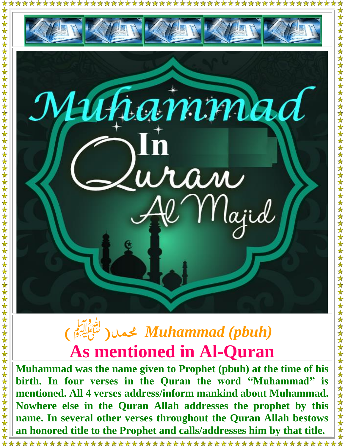

**Muhammad was the name given to Prophet (pbuh) at the time of his birth. In four verses in the Quran the word "Muhammad" is mentioned. All 4 verses address/inform mankind about Muhammad. Nowhere else in the Quran Allah addresses the prophet by this name. In several other verses throughout the Quran Allah bestows an honored title to the Prophet and calls/addresses him by that title.**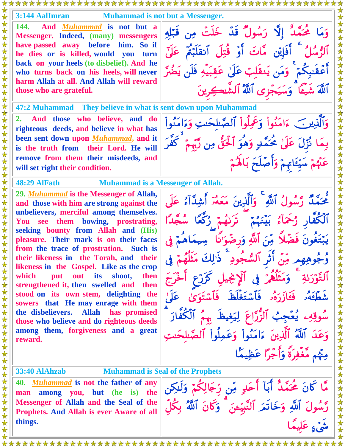| A A A A A A A A A A A A A A A A A A                                                                                                                                                                                                                                                                                                                                                                                                                                                                                                                                                                                                                                                                      |                                                                                                                                                                                                                                                                                                                                                                                                                                                                                                                   |
|----------------------------------------------------------------------------------------------------------------------------------------------------------------------------------------------------------------------------------------------------------------------------------------------------------------------------------------------------------------------------------------------------------------------------------------------------------------------------------------------------------------------------------------------------------------------------------------------------------------------------------------------------------------------------------------------------------|-------------------------------------------------------------------------------------------------------------------------------------------------------------------------------------------------------------------------------------------------------------------------------------------------------------------------------------------------------------------------------------------------------------------------------------------------------------------------------------------------------------------|
| 3:144 AalImran                                                                                                                                                                                                                                                                                                                                                                                                                                                                                                                                                                                                                                                                                           | <b>Muhammad is not but a Messenger.</b>                                                                                                                                                                                                                                                                                                                                                                                                                                                                           |
| 144.<br>And <i>Muhammad</i> is not but a<br>Messenger. Indeed, (many) messengers<br>have passed away before him. So if<br>he dies or is killed, would you turn<br>back on your heels (to disbelief). And he<br>who turns back on his heels, will never<br>harm Allah at all. And Allah will reward<br>those who are grateful.                                                                                                                                                                                                                                                                                                                                                                            | وَمَا مُحَمَّدٌ إِلَّا رَسُولٌ قَدْ خَلَتْ مِن قَبَلِهِ<br>ٱلرُّسُلُ ۚ أَفَإِيْنِ مَّاتَ أَوۡ قُتِلَ ٱنقَلَبۡمُّ عَلَىٰٓ<br>أَعْقَبِكُمْ ۚ وَمَن يَنقَلِبُ عَلَىٰ عَقِبَيْهِ فَلَن يَضُرَّ<br>أَللَّهُ شَيْئًا ۗ وَسَيَجۡزِي ٱللَّهُ ٱلشَّـٰكِرِينَ                                                                                                                                                                                                                                                               |
| 47:2 Muhammad They believe in what is sent down upon Muhammad                                                                                                                                                                                                                                                                                                                                                                                                                                                                                                                                                                                                                                            |                                                                                                                                                                                                                                                                                                                                                                                                                                                                                                                   |
| 2. And those who believe, and do<br>righteous deeds, and believe in what has<br>been sent down upon <i>Muhammad</i> , and it<br>is the truth from their Lord. He will                                                                                                                                                                                                                                                                                                                                                                                                                                                                                                                                    | وَٱلَّذِينَ ءَامَنُواْ وَعَمِلُواْ ٱلصَّلحَتِ وَءَامَنُواْ<br>بِمَا نُزِّلَ عَلَىٰ مُحَمَّدٍ وَهُوَ ٱلْحَقُّ مِن رَّبِّمْ ۚ كَفَّرَ                                                                                                                                                                                                                                                                                                                                                                               |
| remove from them their misdeeds, and<br>will set right their condition.                                                                                                                                                                                                                                                                                                                                                                                                                                                                                                                                                                                                                                  | عَنْهُمْ سَيِّعَاتِهِمْ وَأَصْلَحَ بَالَهُمْ                                                                                                                                                                                                                                                                                                                                                                                                                                                                      |
| 48:29 AlFath                                                                                                                                                                                                                                                                                                                                                                                                                                                                                                                                                                                                                                                                                             | <b>Muhammad is a Messenger of Allah.</b>                                                                                                                                                                                                                                                                                                                                                                                                                                                                          |
| 29. Muhammad is the Messenger of Allah,<br>and those with him are strong against the<br>unbelievers, merciful among themselves.<br>You see them bowing, prostrating,<br>seeking bounty from Allah and (His)<br>pleasure. Their mark is on their faces<br>from the trace of prostration. Such is<br>their likeness in the Torah, and their<br>likeness in the Gospel. Like as the crop<br>which<br>its<br>shoot,<br>then<br>put<br>out<br>strengthened it, then swelled and<br>then<br>stood on its own stem, delighting the<br>sowers that He may enrage with them<br>the disbelievers. Allah has promised<br>those who believe and do righteous deeds<br>among them, forgiveness and a great<br>reward. | مُّحَمَّدٌ رَّسُولُ ٱللَّهِ ۚ وَٱلَّذِينَ مَعَهُمَّ أَشِدَّآهُ عَلَى<br>دُكْعًا سُعْدًا<br>أَلَّكُفَّارِ رُحَمَآءُ بَيْنَهُمْ<br>تركيمية<br>يَبْتَغُونَ فَضَّلاً مِّنَ ٱللَّهِ وَرضُوَ'نًا<br>ودِ ۖ ذَٰٰٓ لِكَ مَثَلَهُمْ ۖ فِي<br>ٱلتَّوۡرَىٰةِ ۚ وَمَثَلُّهُمۡ فِى ٱلۡإِنْجِيلِ كَرَرۡعِ<br>فَعَازَرَهُ فَأَسْتَغْلَظَ فَأَسْتَوَىٰ عَلَىٰ<br>سُوقِهِۦ يُعۡجِبُ ٱلزُّرَّاعَ لِيَغِيظَ بِهِمُ ٱلۡكُفَّارَ<br>وَعَدَ ٱللَّهُ ٱلَّذِينَ ءَامَنُواْ وَعَمِلُواْ ٱلصَّللاَ<br>مِنْهُم مَّغْفِرَةً وَأَجْرًا عَظِيمًا |
| <b>33:40 AlAhzab</b>                                                                                                                                                                                                                                                                                                                                                                                                                                                                                                                                                                                                                                                                                     | <b>Muhammad is Seal of the Prophets</b>                                                                                                                                                                                                                                                                                                                                                                                                                                                                           |
| 40. <i>Muhammad</i> is not the father of any<br>man among you, but (he is) the                                                                                                                                                                                                                                                                                                                                                                                                                                                                                                                                                                                                                           | مَّا كَانَ مُحَمَّدٌ أَبَآ أَحَدٍ مِّن رِّجَالِكُمْ وَلَـٰكِن                                                                                                                                                                                                                                                                                                                                                                                                                                                     |
| Messenger of Allah and the Seal of the<br>Prophets. And Allah is ever Aware of all                                                                                                                                                                                                                                                                                                                                                                                                                                                                                                                                                                                                                       | رَّسُولَ ٱللَّهِ وَخَاتَمَ ٱلنَّبِيِّعَنَ ۚ وَكَانَ ٱللَّهُ بِكُلْ                                                                                                                                                                                                                                                                                                                                                                                                                                                |
| things.                                                                                                                                                                                                                                                                                                                                                                                                                                                                                                                                                                                                                                                                                                  |                                                                                                                                                                                                                                                                                                                                                                                                                                                                                                                   |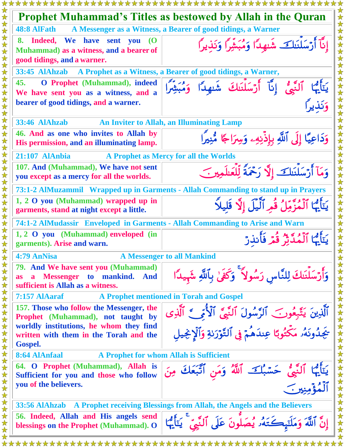| *********************                                                                                                    | ****************                                                                    |  |
|--------------------------------------------------------------------------------------------------------------------------|-------------------------------------------------------------------------------------|--|
|                                                                                                                          | <b>Prophet Muhammad's Titles as bestowed by Allah in the Quran</b>                  |  |
| <b>48:8 AlFath</b>                                                                                                       | A Messenger as a Witness, a Bearer of good tidings, a Warner                        |  |
| 8. Indeed, We have sent you<br><b>O</b><br>Muhammad) as a witness, and a bearer of<br>good tidings, and a warner.        | إِنَّآ أَرْسَلْنَلَكَ شَنهِدًا وَمُبَشِّرًا وَنَذِيرًا                              |  |
| 33:45 AlAhzab A Prophet as a Witness, a Bearer of good tidings, a Warner,                                                |                                                                                     |  |
| 45.<br><b>O</b> Prophet (Muhammad), indeed<br>We have sent you as a witness, and a                                       | يَتَأَيُّهَا ٱلَّذِّيُّ إِنَّآ أَرْسَلْنَكَ شَهِدًا وَمُبَشِّرًا<br>وَنَذِيرًا      |  |
| bearer of good tidings, and a warner.                                                                                    |                                                                                     |  |
| 33:46 AlAhzab                                                                                                            | <b>An Inviter to Allah, an Illuminating Lamp</b>                                    |  |
| 46. And as one who invites to Allah by<br>His permission, and an illuminating lamp.                                      | وَدَاعِيًا إِلَى ٱللَّهِ بِإِذْنِهِۦ وَسِرَاجًا مُّنِيرًا                           |  |
| 21:107 AlAnbia                                                                                                           | A Prophet as Mercy for all the Worlds                                               |  |
| 107. And (Muhammad), We have not sent<br>you except as a mercy for all the worlds.                                       | وَمَآ أَرْسَلْنَلَكَ إِلَّا رَحْمَةً لِّلْعَلَمِينَ                                 |  |
|                                                                                                                          | 73:1-2 AlMuzammil Wrapped up in Garments - Allah Commanding to stand up in Prayers  |  |
| 1, 2 O you (Muhammad) wrapped up in<br>garments, stand at night except a little.                                         | يَتَأَيُّهَا ٱلْمُزَّمِّلُ قُمِرٍ ٱلَّيْلَ إِلَّا قَلِيلًا                          |  |
| 74:1-2 AlMudassir Enveloped in Garments - Allah Commanding to Arise and Warn                                             |                                                                                     |  |
| 1, 2 O you (Muhammad) enveloped (in<br>garments). Arise and warn.                                                        | يَتَأَيُّهَا ٱلْمُدَّثِّرُ قُمَّ فَأَنذِرَ                                          |  |
| 4:79 AnNisa                                                                                                              | <b>A Messenger to all Mankind</b>                                                   |  |
| 79. And We have sent you (Muhammad)<br>a Messenger to mankind. And<br><b>as</b><br>sufficient is Allah as a witness.     | وَأَرْسَلْنَكَ لِلنَّاسِ رَسُولاً ۚ وَكَفَىٰ بِٱللَّهِ شَهِيدًا                     |  |
| 7:157 AlAaraf                                                                                                            | A Prophet mentioned in Torah and Gospel                                             |  |
| 157. Those who follow the Messenger, the<br>Prophet (Muhammad), not taught by<br>worldly institutions, he whom they find | ٱلَّذِينَ يَتَّبِعُونَ ٱلرَّسُولَ ٱلنَّبِيَّ ٱلْأُمِّيِّ ٱلَّذِي                    |  |
| written with them in the Torah and the<br><b>Gospel.</b>                                                                 | يَجِدُونَهُ مَكْتُوبًا عِندَهُمْ فِي ٱلتَّوْرَبَةِ وَٱلْإِنْجِيلِ                   |  |
| 8:64 AlAnfaal<br>A Prophet for whom Allah is Sufficient                                                                  |                                                                                     |  |
| 64. O Prophet (Muhammad), Allah is<br>Sufficient for you and those who follow<br>you of the believers.                   | يَتَأَيُّهَا ٱلنَّبِيُّ حَسَّبُكَ ٱللَّهُ وَمَنِ ٱتَّبَعَكَ مِنَ<br>ر<br>المؤمنير ب |  |
|                                                                                                                          |                                                                                     |  |
| 33:56 AlAhzab A Prophet receiving Blessings from Allah, the Angels and the Believers                                     |                                                                                     |  |
| 56. Indeed, Allah and His angels send<br>blessings on the Prophet (Muhammad). O                                          | إِنَّ ٱللَّهَ وَمَلَنَهِكَتَهُ لِمُصَلُّونَ عَلَى ٱلنَّبِىِّ ۚ يَأَيُّهَا           |  |
|                                                                                                                          |                                                                                     |  |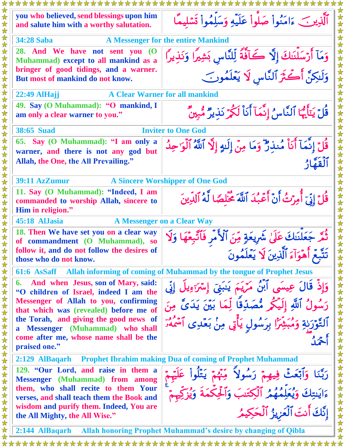| you who believed, send blessings upon him<br>and salute him with a worthy salutation.                                     | ٱلَّذِينَ ءَامَنُواْ صَلُّواْ عَلَيْهِ وَسَلِّمُواْ تَسۡلِيمًا                                                                           |  |
|---------------------------------------------------------------------------------------------------------------------------|------------------------------------------------------------------------------------------------------------------------------------------|--|
| <b>A Messenger for the entire Mankind</b><br><b>34:28 Saba</b>                                                            |                                                                                                                                          |  |
| 28. And We have not sent you (O<br>Muhammad) except to all mankind as a<br>bringer of good tidings, and a warner.         | وَمَآ أَرْسَلْنَكَ إِلَّا كَآفَّةً لِّلنَّاسِ بَشِيرًا وَنَذِيرًا<br>وَلَـٰكِنَّ أَكْثَرَ ٱلنَّاسِ لَا يَعْلَمُونَ                       |  |
| But most of mankind do not know.                                                                                          |                                                                                                                                          |  |
| <b>A Clear Warner for all mankind</b><br><b>22:49 AlHajj</b>                                                              |                                                                                                                                          |  |
| 49. Say (O Muhammad): "O mankind, I<br>am only a clear warner to you."                                                    | قُلْ يَتَأَيُّهَا ٱلنَّاسُ إِنَّمَآ أَنَاْ لَكُوۡ نَذِيرٌ مُّبِينٌ                                                                       |  |
| <b>38:65 Suad</b>                                                                                                         | <b>Inviter to One God</b>                                                                                                                |  |
| 65. Say (O Muhammad): "I am only a<br>warner, and there is not any god but                                                | قُلْ إِنَّمَآ أَنَاْ مُنذِرٌ ۖ وَمَا مِنْ إِلَيْهِ إِلَّا ٱللَّهُ ٱلْوَاحِدُ                                                             |  |
| Allah, the One, the All Prevailing."                                                                                      | ٱلۡقَفَّارُ                                                                                                                              |  |
| 39:11 AzZumur                                                                                                             | <b>A Sincere Worshipper of One God</b>                                                                                                   |  |
| 11. Say (O Muhammad): "Indeed, I am<br>commanded to worship Allah, sincere to<br>Him in religion."                        | قُلْ إِنِّيَ أُمِرْتُ أَنْ أَعَبُدَ ٱللَّهَ جُنَّلِصًا لَّهُ ٱلدِّينَ                                                                    |  |
| 45:18 AlJasia                                                                                                             | <b>A Messenger on a Clear Way</b>                                                                                                        |  |
| 18. Then We have set you on a clear way<br>of commandment (O Muhammad), so<br>follow it, and do not follow the desires of | ثُمَّر جَعَلْنَكَ عَلَىٰ شَرِيعَةٍ مِّنَ ٱلْأَمْرِ فَٱتَّبِعْهَا وَلَا<br>تَتَّبِعُ أَهْوَآءَ ٱلَّذِينَ لَا يَعْلَمُونَ                  |  |
| those who do not know.                                                                                                    |                                                                                                                                          |  |
| 61:6 AsSaff                                                                                                               | Allah informing of coming of Muhammad by the tongue of Prophet Jesus                                                                     |  |
| And when Jesus, son of Mary, said:<br>6.<br>"O children of Israel, indeed I am the                                        | وَإِذْ قَالَ عِيسَى أَبْنُ مَرْيَمَ يَنبَنِي إِسْرَءِيلَ إِنِّي                                                                          |  |
| Messenger of Allah to you, confirming<br>that which was (revealed) before me of                                           | رَسُولُ ٱللَّهِ إِلَيْكُمْ مُّصَدِّقًا لِّمَا بَيْنَ يَدَىَّ مِنَ                                                                        |  |
| the Torah, and giving the good news of<br>a Messenger (Muhammad) who shall                                                | ٱلتَّوۡرَبٰةِ وَمُبَشِّرٗا بِرَسُولِ يَأۡنِى مِنۡ بَعۡدِى ٱسْمَهۡرَ                                                                      |  |
| come after me, whose name shall be the<br>praised one."                                                                   |                                                                                                                                          |  |
| 2:129 AlBaqarh Prophet Ibrahim making Dua of coming of Prophet Muhammad                                                   |                                                                                                                                          |  |
| 129. "Our Lord, and raise in them a<br><b>Messenger</b> (Muhammad) from among<br>them, who shall recite to them Your      | رَبَّنَا وَٱبۡعَثۡ فِيهِمۡ رَسُولاً ۚ مِّنۡمۡمۡ يَتَلُواْ عَلَيۡم<br>ءَايَـٰتِكَ وَيُعَلِّمُهُمُ ٱلۡكِتَـٰبَ وَٱلۡحِكۡمَةَ وَيُزَكِّمِمۡ |  |
| verses, and shall teach them the Book and<br>wisdom and purify them. Indeed, You are                                      | إِنَّكَ أَنتَ ٱلْعَزِيزُ ٱلْحَكِيمُ                                                                                                      |  |
| the All Mighty, the All Wise."                                                                                            |                                                                                                                                          |  |
|                                                                                                                           | 2:144 AlBaqarh Allah honoring Prophet Muhammad's desire by changing of Qibla                                                             |  |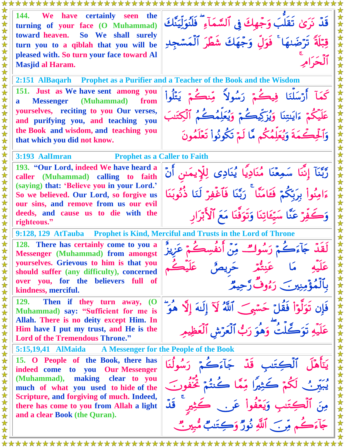| *********************                                                                                                                                                                                                             |                                                                                                                                     |  |
|-----------------------------------------------------------------------------------------------------------------------------------------------------------------------------------------------------------------------------------|-------------------------------------------------------------------------------------------------------------------------------------|--|
| 144.<br><b>EXAMPLE WE MEET A VERTILE SECONDENT SEEN</b><br>the<br>turning of your face (O Muhammad)<br>So We shall surely<br>toward heaven.<br>turn you to a qiblah that you will be<br>pleased with. So turn your face toward Al | قَدْ نَرَىٰ تَقَلَّبَ وَجَهِكَ فِى ٱلسَّمَآءِ ۖ فَلَنُوَلِّيَنَّكَ<br>قِبَّلَةً تَرْضَىٰهَا ۚ فَوَلِّ وَجْهَكَ شَطَّرَ ٱلْمَسَّجِدِ |  |
| <b>Masjid al Haram.</b>                                                                                                                                                                                                           |                                                                                                                                     |  |
| $2:151$ AlBaqarh                                                                                                                                                                                                                  | <b>Prophet as a Purifier and a Teacher of the Book and the Wisdom</b>                                                               |  |
| 151. Just as We have sent among you<br><b>Messenger</b> (Muhammad) from<br>$\mathbf{a}$<br>yourselves, reciting to you Our verses,                                                                                                | كَمَآ أَرْسَلْنَا فِيكُمۡ رَسُولاً مِّنكُمۡ يَتْلُواْ<br>عَلَيْكُمْ ءَايَسِنَا وَيُزَكِّيكُمْ وَيُعَلِمُكُمُ ٱلْكِتَنَبَ            |  |
| and purifying you, and teaching you<br>the Book and wisdom, and teaching you<br>that which you did not know.                                                                                                                      | وَٱلْحِكْمَةَ وَيُعَلِّمُكُم مَّا لَمْ تَكُونُواْ تَعْلَمُونَ                                                                       |  |
| <b>Prophet as a Caller to Faith</b><br>3:193 AalImran                                                                                                                                                                             |                                                                                                                                     |  |
| 193. "Our Lord, indeed We have heard a<br>caller (Muhammad) calling to faith                                                                                                                                                      | رَّبَّنَآ إِنَّنَا سَمِعْنَا مُنَادِيًا يُنَادِى لِلْإِيمَنِ أَنَّ                                                                  |  |
| (saying) that: 'Believe you in your Lord.'<br>So we believed. Our Lord, so forgive us<br>our sins, and remove from us our evil                                                                                                    | ءَامِنُواْ بِرَبِّكُمْ فَعَامَنَّا ۚ رَبَّنَا فَٱغۡفِرۡ لَنَا ذُنُوبَنَا                                                            |  |
| deeds, and cause us to die with the<br>righteous."                                                                                                                                                                                | وَكَفِّرْ عَنَّا سَيِّعَاتِنَا وَتَوَفَّنَا مَعَ ٱلْأَبْرَارِ                                                                       |  |
| 9:128, 129 AtTauba Prophet is Kind, Merciful and Trusts in the Lord of Throne                                                                                                                                                     |                                                                                                                                     |  |
| 128. There has certainly come to you a<br><b>Messenger</b> (Muhammad) from amongst<br>yourselves. Grievous to him is that you                                                                                                     | لْقِلّْهِ جَآءَكَّهُ رَسُه                                                                                                          |  |
| should suffer (any difficulty), concerned<br>over you, for the believers full of<br>kindness, merciful.                                                                                                                           | $\frac{1}{2}$                                                                                                                       |  |
| <b>129.</b><br>Then if they turn away, $(0)$<br>Muhammad) say: "Sufficient for me is<br>Allah. There is no deity except Him. In                                                                                                   | تَوَلَّوْاْ فَقُلْ حَسَّبِي ٱللَّهُ لَآ إِلَيْهَ إِلَّا هُوَ                                                                        |  |
| Him have I put my trust, and He is the<br><b>Lord of the Tremendous Throne."</b>                                                                                                                                                  | .<br>لتُ وَهُوَ رَبُّ ٱلْعَرَّشِ ٱلْعَظِ                                                                                            |  |
| 5:15,19,41 AlMaida A Messenger for the People of the Book                                                                                                                                                                         |                                                                                                                                     |  |
| 15. O People of the Book, there has<br>indeed come to you Our Messenger                                                                                                                                                           | لْكِتَبِ قَدْ جَآءَكُ                                                                                                               |  |
| (Muhammad), making clear to you<br>much of what you used to hide of the                                                                                                                                                           |                                                                                                                                     |  |
| Scripture, and forgiving of much. Indeed,<br>there has come to you from Allah a light                                                                                                                                             | قَدْ                                                                                                                                |  |
| and a clear Book (the Quran).                                                                                                                                                                                                     |                                                                                                                                     |  |
|                                                                                                                                                                                                                                   | م مِّر جَبِ ٱللَّهِ نُورٌ وَكِتَنبٌ هُ                                                                                              |  |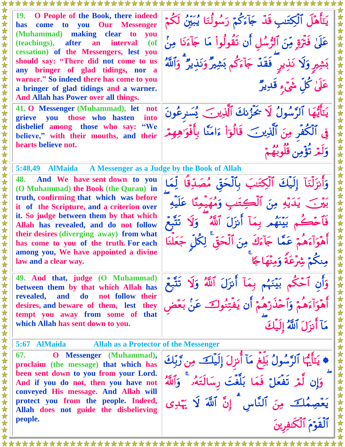**19. O People of the Book, there indeed**  يَتَأَهَّلُ الْكِتَسِ قَدْ جَأْءَكُمْ رَسُولُنَا يُبَيِّنُ لَكُمْ **has come to you Our Messenger (Muhammad) making clear to you**  عَلَىٰ فَتَرَةٍ مِّنَ ٱلرُّسُلِ أَن تَقُولُواْ مَا جَآءَنَا مِنْ  $\overline{a}$ **(teachings), after an interval (of**  女女女女女女女女女女女女女女女 **cessation) of the Messengers, lest you should say: "There did not come to us**  بَشِيرٍ وَلَا نَذِيرٍ ۖ فَقُدَّ جَآءَكُمْ بَشِيرٌ وَنَذِيرٌ ۖ وَٱللَّهُ **any bringer of glad tidings, nor a warner." So indeed there has come to you**  عَلَىٰ كُلِّ شَيْءٍ قُلِيدٌ **a bringer of glad tidings and a warner. And Allah has Power over all things. 41. O Messenger (Muhammad), let not**  يَتَأَيُّهَا ٱلرَّسُولُ لَا يُحَزِّنِكَ ٱلَّذِينَ يُسَرِّعُونَ **grieve you those who hasten into disbelief among those who say: "We**  فِي ٱلْكُفِرِ مِنَ ٱلَّذِينَ ۖ قَالَوۡاْ ءَامَنَّا بِأَفُوَاهِهِمْ ۖ **believe," with their mouths, and their hearts believe not.** وَلَمْرِ تَؤْمِنِ قُلُوبُهُمْ **5:48,49 AlMaida A Messenger as a Judge by the Book of Allah**   $\star$ **48. And We have sent down to you**  法女 وَأَنزَلْنَا إِلَيْكَ ٱلْكِتَنِبَ بِٱلْحَقِّ مُصَدِّقًا لِمَا **(O Muhammad) the Book (the Quran) in truth, confirming that which was before**  بَيْنَ ۖ يَدَيْهِ مِنَ ٱلْكِتَنِبِ وَمُهَيمِنًا عَلَيْهِ 女女女女女女女女 **it of the Scripture, and a criterion over it. So judge between them by that which** فَأَحْكُم بَيْنَهُم بِمَآ أَنزَلَ ٱللَّهُ ۖ وَلَا تُتَّبِعُ **Allah has revealed, and do not follow their desires (diverging away) from what**  أَهْوَأَءَهُمْ عَمَّا جَآءَكَ مِنَ ٱلْحَقِّ لِكُلِّ جَعَلْنَا **has come to you of the truth. For each**  女女女 **among you, We have appointed a divine**  مِنكُمْ شِرْعَةً وَمِنْهَاجًا **law and a clear way.**  女女女女女女女女女女女 **49. And that, judge (O Muhammad)** وَأَنِ أَحْكُمْ بَيِّنَهُمْ بِمَآ أَنزَلَ ٱللَّهُ وَلَا تَتَّبِعُ **between them by that which Allah has revealed, and do not follow their**  أَهْوَأَءَهُمْ وَأَحْذُرُهُمْ أَن يُفْتِنُوكَ عَنْ بَعْض **desires, and beware of them, lest they tempt you away from some of that**  مَآ أَنزَلَ ٱللَّهُ إِلَيْكَ **which Allah has sent down to you.** 公女 **5:67 AlMaida Allah as a Protector of the Messenger 67. O Messenger (Muhammad),** \* يَتَأَيُّهَا ٱلرَّسُولُ بَلِّغٍ مَأْ أَنزِلَ إِلَيْكَ مِن رَّبِّكَ 法女女 **proclaim (the message) that which has been sent down to you from your Lord.**  وَإِن لَمْ تَفْعَلْ فَمَا بَلَّغْتَ رِسَالَتَهُۥ وَٱللَّهُ 法安全 **And if you do not, then you have not conveyed His message. And Allah will protect you from the people. Indeed,**  公女女 يَعْصِمُكَ مِنَ ٱلنَّاسِ إِنَّ ٱللَّهَ لَا يَهْدِى **Allah does not guide the disbelieving**   $\bigstar$ **people.**  ٱلۡقَوۡمَ ٱلۡٓكَٰنِفِرِينَ